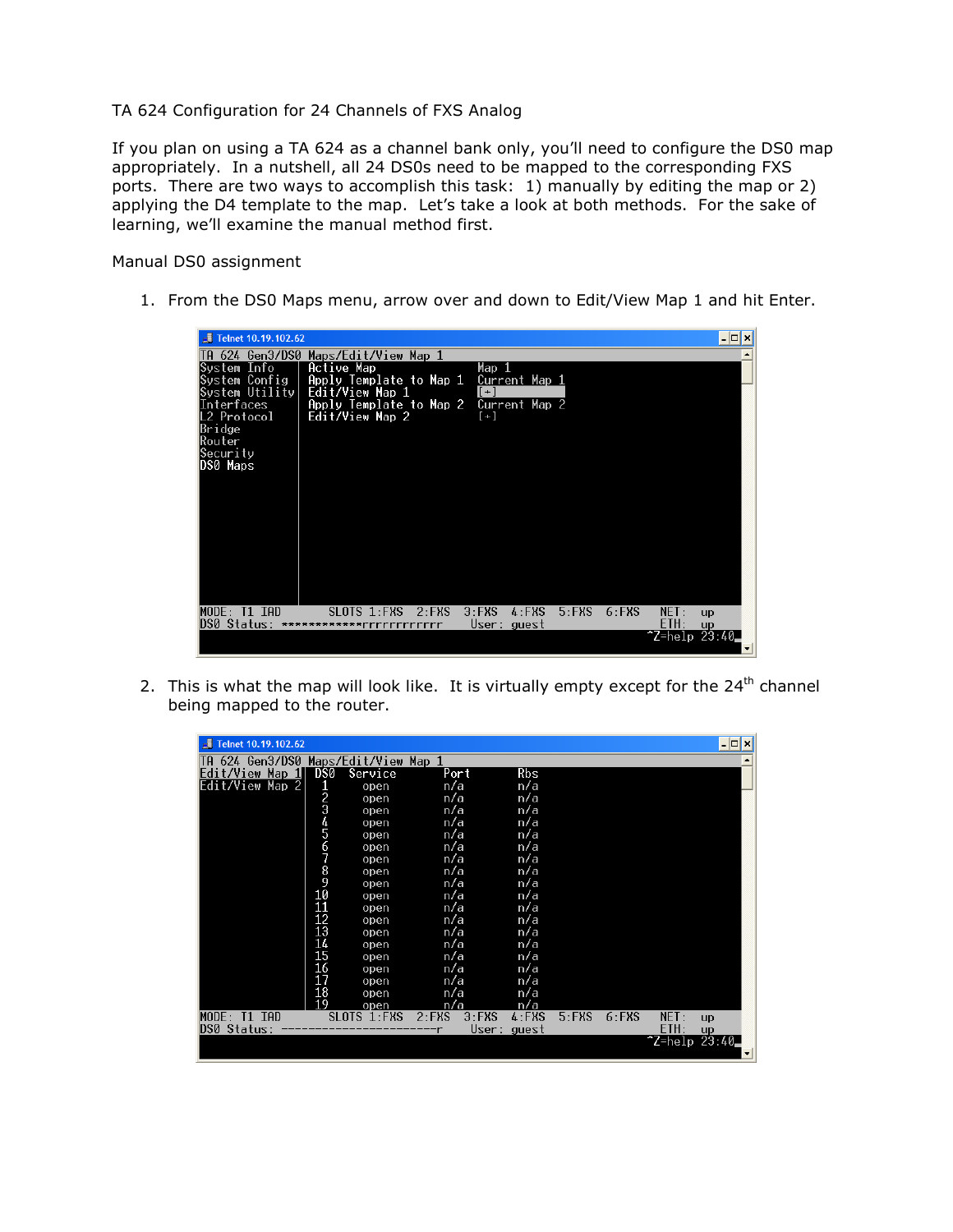## TA 624 Configuration for 24 Channels of FXS Analog

If you plan on using a TA 624 as a channel bank only, you'll need to configure the DS0 map appropriately. In a nutshell, all 24 DS0s need to be mapped to the corresponding FXS ports. There are two ways to accomplish this task: 1) manually by editing the map or 2) applying the D4 template to the map. Let's take a look at both methods. For the sake of learning, we'll examine the manual method first.

Manual DS0 assignment

1. From the DS0 Maps menu, arrow over and down to Edit/View Map 1 and hit Enter.

| $\sqrt{2}$ Telnet 10.19.102.62<br>- 0 ×                                                                                                                                                                                                                                                        |                          |
|------------------------------------------------------------------------------------------------------------------------------------------------------------------------------------------------------------------------------------------------------------------------------------------------|--------------------------|
| TA 624 Gen3/DS0<br>Maps/Edit/View Map 1                                                                                                                                                                                                                                                        |                          |
| System Info<br>Active Map<br>Map 1<br>System Config<br>Apply Template to Map 1<br>Current Map 1<br>System Utility<br>Edit/View Map 1<br>$[+]$<br>Interfaces<br>Apply Template to Map 2<br>Current Map 2<br>L2 Protocol<br>Edit/View Map 2<br>$[+]$<br>Bridge<br>Router<br>Security<br>DS0 Maps |                          |
|                                                                                                                                                                                                                                                                                                |                          |
| $5:$ FXS<br>$MODE: I1$ TAD<br>$2:$ FXS<br>$3:$ FXS<br>$4:$ FXS<br>$6:$ FXS<br>SLOTS<br>$1:$ FXS<br>NET:<br>up<br>ETH:<br>DS0<br>Status:<br>User: guest<br><b>up</b><br>**********<br>rrrrrrrrrrrr<br>~Z=help 23:40                                                                             |                          |
|                                                                                                                                                                                                                                                                                                | $\overline{\phantom{a}}$ |

2. This is what the map will look like. It is virtually empty except for the  $24<sup>th</sup>$  channel being mapped to the router.

| d<br>Telnet 10.19.102.62 |                  |                      |                      |            |          |          |                | $ \Box$ $\times$ |
|--------------------------|------------------|----------------------|----------------------|------------|----------|----------|----------------|------------------|
| 624 Gen3/DS0<br>IН       |                  | Maps/Edit/View Map 1 |                      |            |          |          |                |                  |
| Edit/View Map 1          | DS0              | Service              | Port                 | <b>Rbs</b> |          |          |                |                  |
| Edit/View<br>Map 2       | 1                | open                 | n/a                  | n/a        |          |          |                |                  |
|                          | 2<br>3<br>4<br>5 | open                 | n/a                  | n/a        |          |          |                |                  |
|                          |                  | open                 | n/a                  | n/a        |          |          |                |                  |
|                          |                  | open                 | n/a                  | n/a        |          |          |                |                  |
|                          |                  | open                 | n/a                  | n/a        |          |          |                |                  |
|                          | 6789             | open                 | n/a                  | n/a        |          |          |                |                  |
|                          |                  | open                 | n/a                  | n/a        |          |          |                |                  |
|                          |                  | open                 | n/a                  | n/a        |          |          |                |                  |
|                          |                  | open                 | n/a                  | n/a        |          |          |                |                  |
|                          | 10               | open                 | n/a                  | n/a        |          |          |                |                  |
|                          | 11               | open                 | n/a                  | n/a        |          |          |                |                  |
|                          | 12               | open                 | n/a                  | n/a        |          |          |                |                  |
|                          | 13               | open                 | n/a                  | n/a        |          |          |                |                  |
|                          | 14               | open                 | n/a                  | n/a        |          |          |                |                  |
|                          | 15               | open                 | n/a                  | n/a        |          |          |                |                  |
|                          | 16               | open                 | n/a                  | n/a        |          |          |                |                  |
|                          | 17               | open                 | n/a                  | n/a        |          |          |                |                  |
|                          | 18               | open                 | n/a                  | n/a        |          |          |                |                  |
|                          | 19               | open                 | n/a                  | n/a        |          |          |                |                  |
| MODE: T1 IAD             |                  | SLOTS 1:FXS          | $2:$ FXS<br>$3:$ FXS | $4:$ FXS   | $5:$ FXS | $6:$ FXS | NET:           | up               |
| DS0 Status:              |                  |                      | User:                | guest      |          |          | ETH:           | up               |
|                          |                  |                      |                      |            |          |          | $2=he1p 23:40$ |                  |
|                          |                  |                      |                      |            |          |          |                | ▾║               |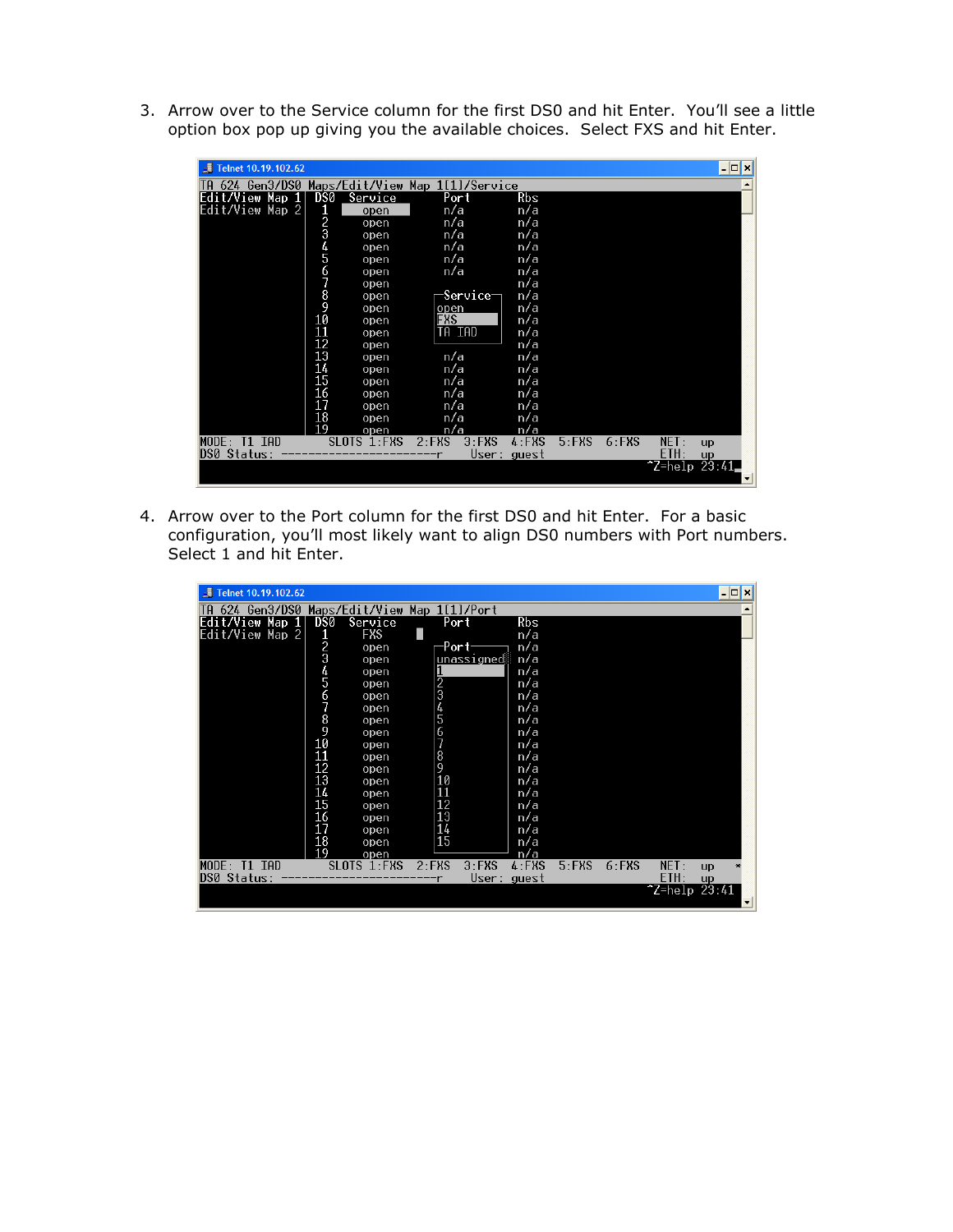3. Arrow over to the Service column for the first DS0 and hit Enter. You'll see a little option box pop up giving you the available choices. Select FXS and hit Enter.

| Telnet 10.19.102.62                             |                 |             |                      |                |          |          |       | – <b> </b> □ ×           |
|-------------------------------------------------|-----------------|-------------|----------------------|----------------|----------|----------|-------|--------------------------|
| TA 624 Gen3/DS0 Maps/Edit/View Map 1[1]/Service |                 |             |                      |                |          |          |       |                          |
| Map 1<br>Edit/View                              | DS0             | Service     | Port                 | Rbs            |          |          |       |                          |
| Edit/View<br>$Map$ 2                            |                 | open        | n/a                  | n/a            |          |          |       |                          |
|                                                 | 294567890       | open        | n/a                  | n/a            |          |          |       |                          |
|                                                 |                 | open        | n/a                  | n/a            |          |          |       |                          |
|                                                 |                 | open        | n/a                  | n/a            |          |          |       |                          |
|                                                 |                 | open        | n/a                  | n/a            |          |          |       |                          |
|                                                 |                 | open        | n/a                  | n/a            |          |          |       |                          |
|                                                 |                 | open        |                      | n/a            |          |          |       |                          |
|                                                 |                 | open        | Service-             | n/a            |          |          |       |                          |
|                                                 |                 | open        | open<br>FXS          | n/a            |          |          |       |                          |
|                                                 |                 | open        |                      | n/a            |          |          |       |                          |
|                                                 | 11              | open        | TA IAD               | n/a            |          |          |       |                          |
|                                                 | 12              | open        |                      | n/a            |          |          |       |                          |
|                                                 | $\overline{13}$ | open        | n/a                  | n/a            |          |          |       |                          |
|                                                 | 14              | open        | n/a                  | n/a            |          |          |       |                          |
|                                                 | 15              | open        | n/a                  | n/a            |          |          |       |                          |
|                                                 | 16              | open        | n/a                  | n/a            |          |          |       |                          |
|                                                 | 17              | open        | n/a                  | n/a            |          |          |       |                          |
|                                                 | 18              | open        | n/a                  | n/a            |          |          |       |                          |
|                                                 | 19              | open        | n/a                  | n/a            |          |          |       |                          |
| MODE: T1 IAD                                    |                 | SLOTS 1:FXS | $2:$ FXS<br>$3:$ FXS | $4:$ FXS       | $5:$ FXS | $6:$ FXS | NET:  | up                       |
| DS0 Status:                                     |                 |             |                      | User:<br>guest |          |          | ETH:  | up                       |
|                                                 |                 |             |                      |                |          |          | 25:41 | $\overline{\phantom{a}}$ |

4. Arrow over to the Port column for the first DS0 and hit Enter. For a basic configuration, you'll most likely want to align DS0 numbers with Port numbers. Select 1 and hit Enter.

| Telnet 10.19.102.62        |                  |                              |               |           |                 |          |          |                  |    | $ \Box$ $\times$ |
|----------------------------|------------------|------------------------------|---------------|-----------|-----------------|----------|----------|------------------|----|------------------|
| 624 Gen3/DS0<br>īА         |                  | Maps/Edit/View Map 1[1]/Port |               |           |                 |          |          |                  |    |                  |
| Edit/View Map 1            | DS0              | Service                      |               | Port      | Rbs             |          |          |                  |    |                  |
| Edit/View Map 2            | 1                | FXS                          |               |           | n/a             |          |          |                  |    |                  |
|                            | 2<br>3<br>4<br>5 | open                         |               | Port-     | n/a             |          |          |                  |    |                  |
|                            |                  | open                         |               | unssigned | n/a             |          |          |                  |    |                  |
|                            |                  | open                         |               |           | n/a             |          |          |                  |    |                  |
|                            |                  | open                         |               |           | n/a             |          |          |                  |    |                  |
|                            |                  | open                         |               |           | n/a             |          |          |                  |    |                  |
|                            | 6789             | open                         | 1234567       |           | n/a             |          |          |                  |    |                  |
|                            |                  | open                         |               |           | n/a             |          |          |                  |    |                  |
|                            |                  | open                         |               |           | n/a             |          |          |                  |    |                  |
|                            | 10               | open                         |               |           | n/a             |          |          |                  |    |                  |
|                            | 11               | open                         | $\frac{8}{9}$ |           | n/a             |          |          |                  |    |                  |
|                            | 12               | open                         |               |           | n/a             |          |          |                  |    |                  |
|                            | 13               | open                         | 10            |           | n/a             |          |          |                  |    |                  |
|                            | 14               | open                         | 11            |           | n/a             |          |          |                  |    |                  |
|                            | 15               | open                         | 12            |           | n/a             |          |          |                  |    |                  |
|                            | 16               | open                         | 13            |           | n/a             |          |          |                  |    |                  |
|                            | 17               | open                         | 14            |           | n/a             |          |          |                  |    |                  |
|                            | 18<br>19         | open                         | 15            |           | n/a             |          |          |                  |    |                  |
| MODE:<br>TAD<br>T1         |                  | open<br>SLOTS 1:FXS          | $2:$ FXS      | $3:$ FXS  | n/a<br>$4:$ FXS | $5:$ FXS | $6:$ FXS | NET:             |    |                  |
| Status:<br>D <sub>50</sub> |                  |                              |               | User:     | guest           |          |          | ETH:             | up |                  |
|                            |                  |                              |               |           |                 |          |          | $7$ Z=help 23:41 | up |                  |
|                            |                  |                              |               |           |                 |          |          |                  |    | デ                |